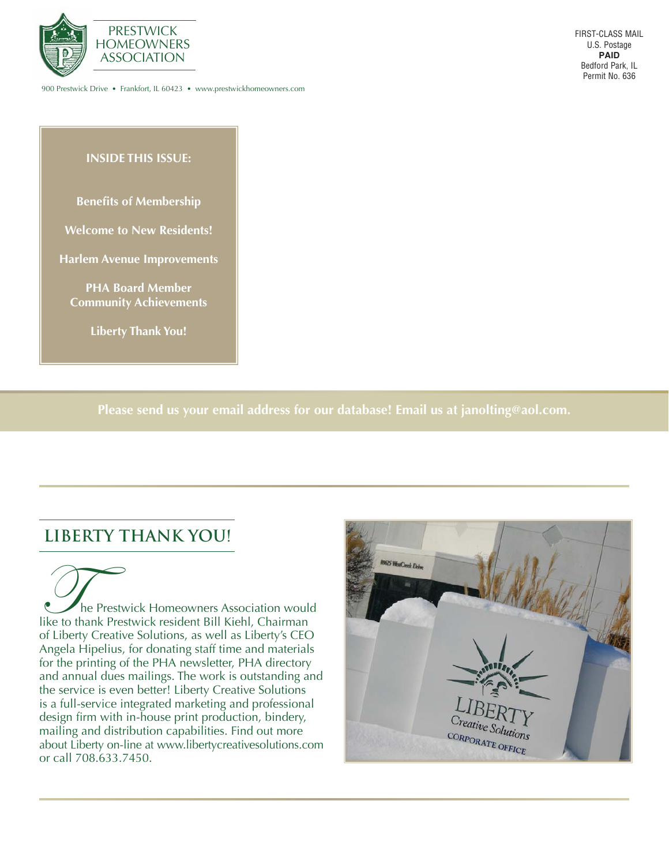

900 Prestwick Drive • Frankfort, IL 60423 • www.prestwickhomeowners.com

#### **INSIDE THIS ISSUE:**

**Benefits of Membership** 

**Welcome to New Residents!**

**Harlem Avenue Improvements**

**PHA Board Member Community Achievements**

**Liberty Thank You!**

**Please send us your email address for our database! Email us at janolting@aol.com.**

## **LIBERTY THANK YOU!**

The Prestwick Homeowners Association would<br>like to thank Prestwick resident Bill Kiehl, Chairman of Liberty Creative Solutions, as well as Liberty's CEO Angela Hipelius, for donating staff time and materials for the printing of the PHA newsletter, PHA directory and annual dues mailings. The work is outstanding and the service is even better! Liberty Creative Solutions is a full-service integrated marketing and professional design firm with in-house print production, bindery, mailing and distribution capabilities. Find out more about Liberty on-line at www.libertycreativesolutions.com or call 708.633.7450.

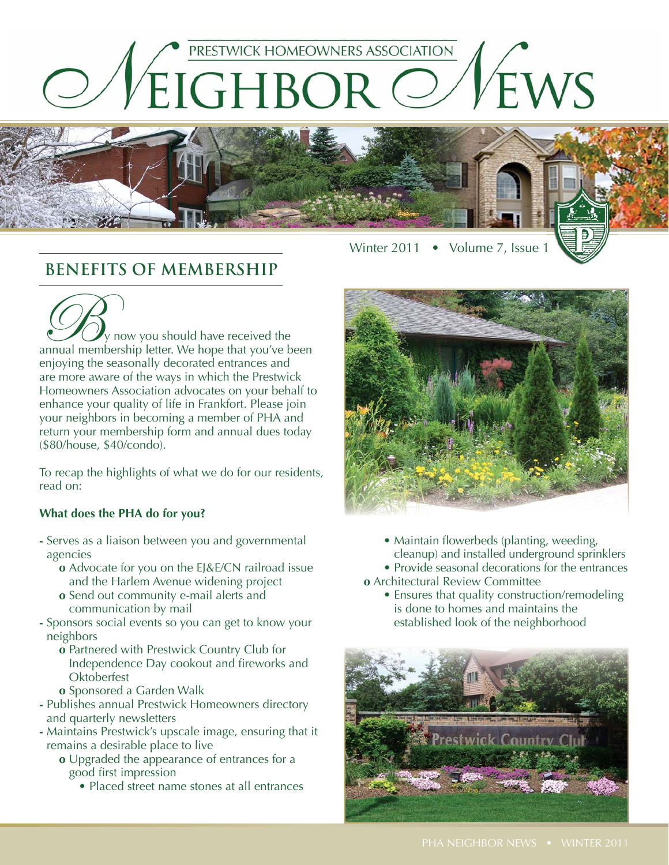



# **BENEFITS OF MEMBERSHIP**

OB<sub>y</sub> now you should have received the annual membership letter. We hope that you've been enjoying the seasonally decorated entrances and are more aware of the ways in which the Prestwick Homeowners Association advocates on your behalf to enhance your quality of life in Frankfort. Please join your neighbors in becoming a member of PHA and return your membership form and annual dues today (\$80/house, \$40/condo).

To recap the highlights of what we do for our residents, read on:

#### **What does the PHA do for you?**

- **-** Serves as a liaison between you and governmental agencies
	- **o** Advocate for you on the EJ&E/CN railroad issue and the Harlem Avenue widening project
	- **o** Send out community e-mail alerts and communication by mail
- **-** Sponsors social events so you can get to know your neighbors
	- **o** Partnered with Prestwick Country Club for Independence Day cookout and fireworks and **Oktoberfest**
	- **o** Sponsored a Garden Walk
- **-** Publishes annual Prestwick Homeowners directory and quarterly newsletters
- **-** Maintains Prestwick's upscale image, ensuring that it remains a desirable place to live
	- **o** Upgraded the appearance of entrances for a good first impression
		- Placed street name stones at all entrances



- Maintain flowerbeds (planting, weeding, cleanup) and installed underground sprinklers
- Provide seasonal decorations for the entrances
- **o** Architectural Review Committee
	- Ensures that quality construction/remodeling is done to homes and maintains the established look of the neighborhood

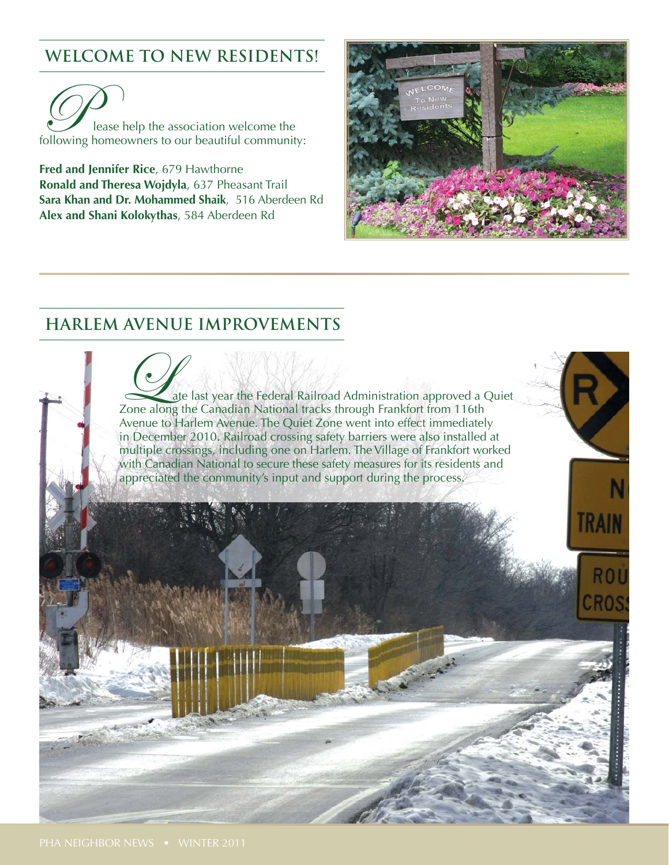# **WELCOME TO NEW RESIDENTS!**

Please help the association welcome the following homeowners to our beautiful community:

**Fred and Jennifer Rice**, 679 Hawthorne **Ronald and Theresa Wojdyla**, 637 Pheasant Trail **Sara Khan and Dr. Mohammed Shaik**, 516 Aberdeen Rd **Alex and Shani Kolokythas**, 584 Aberdeen Rd



# **HARLEM AVENUE IMPROVEMENTS**